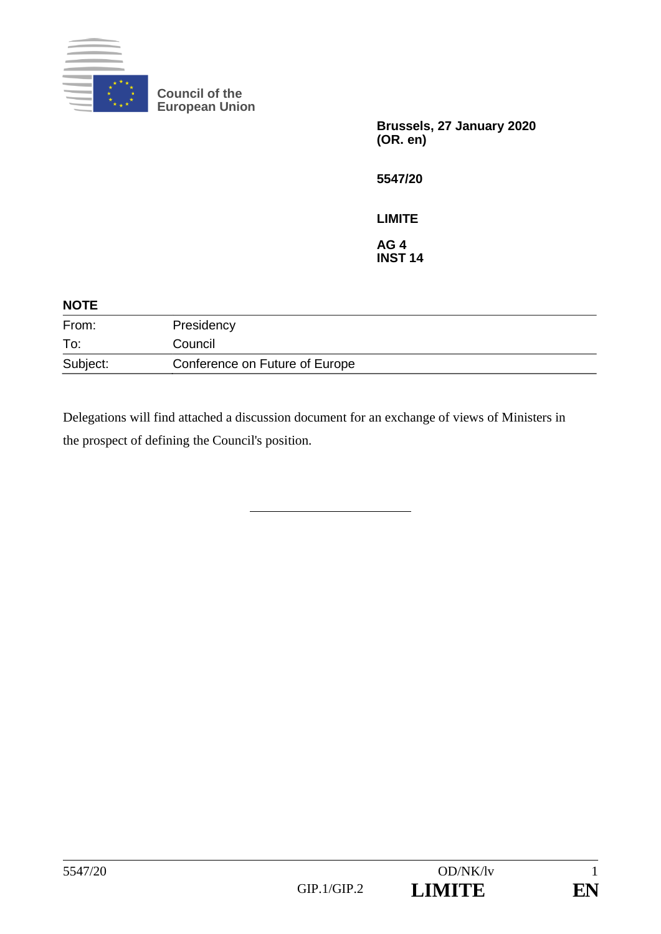

**Council of the European Union**

> **Brussels, 27 January 2020 (OR. en)**

**5547/20**

**LIMITE**

**AG 4 INST 14**

| <b>NOTE</b> |                                |
|-------------|--------------------------------|
| From:       | Presidency                     |
| To:         | Council                        |
| Subject:    | Conference on Future of Europe |

Delegations will find attached a discussion document for an exchange of views of Ministers in the prospect of defining the Council's position.

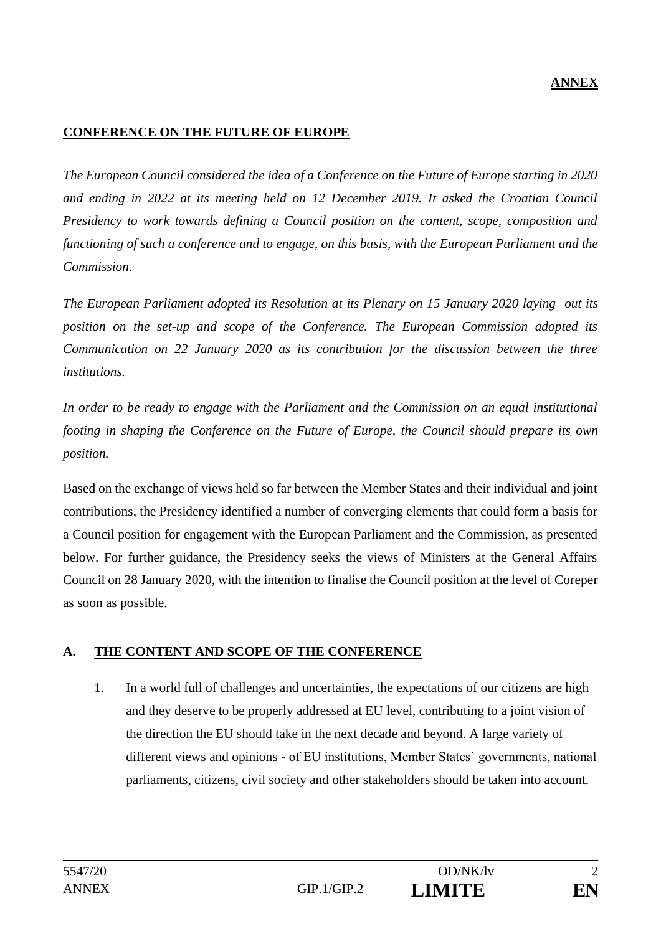### **ANNEX**

#### **CONFERENCE ON THE FUTURE OF EUROPE**

*The European Council considered the idea of a Conference on the Future of Europe starting in 2020 and ending in 2022 at its meeting held on 12 December 2019. It asked the Croatian Council Presidency to work towards defining a Council position on the content, scope, composition and functioning of such a conference and to engage, on this basis, with the European Parliament and the Commission.*

*The European Parliament adopted its Resolution at its Plenary on 15 January 2020 laying out its position on the set-up and scope of the Conference. The European Commission adopted its Communication on 22 January 2020 as its contribution for the discussion between the three institutions.*

*In order to be ready to engage with the Parliament and the Commission on an equal institutional footing in shaping the Conference on the Future of Europe, the Council should prepare its own position.*

Based on the exchange of views held so far between the Member States and their individual and joint contributions, the Presidency identified a number of converging elements that could form a basis for a Council position for engagement with the European Parliament and the Commission, as presented below. For further guidance, the Presidency seeks the views of Ministers at the General Affairs Council on 28 January 2020, with the intention to finalise the Council position at the level of Coreper as soon as possible.

#### **A. THE CONTENT AND SCOPE OF THE CONFERENCE**

1. In a world full of challenges and uncertainties, the expectations of our citizens are high and they deserve to be properly addressed at EU level, contributing to a joint vision of the direction the EU should take in the next decade and beyond. A large variety of different views and opinions - of EU institutions, Member States' governments, national parliaments, citizens, civil society and other stakeholders should be taken into account.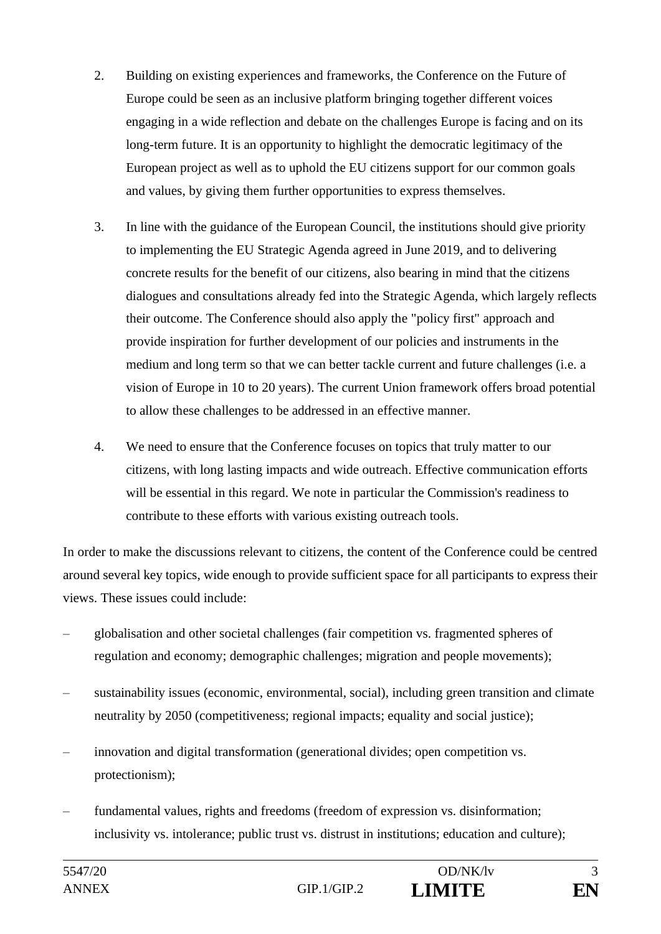- 2. Building on existing experiences and frameworks, the Conference on the Future of Europe could be seen as an inclusive platform bringing together different voices engaging in a wide reflection and debate on the challenges Europe is facing and on its long-term future. It is an opportunity to highlight the democratic legitimacy of the European project as well as to uphold the EU citizens support for our common goals and values, by giving them further opportunities to express themselves.
- 3. In line with the guidance of the European Council, the institutions should give priority to implementing the EU Strategic Agenda agreed in June 2019, and to delivering concrete results for the benefit of our citizens, also bearing in mind that the citizens dialogues and consultations already fed into the Strategic Agenda, which largely reflects their outcome. The Conference should also apply the "policy first" approach and provide inspiration for further development of our policies and instruments in the medium and long term so that we can better tackle current and future challenges (i.e. a vision of Europe in 10 to 20 years). The current Union framework offers broad potential to allow these challenges to be addressed in an effective manner.
- 4. We need to ensure that the Conference focuses on topics that truly matter to our citizens, with long lasting impacts and wide outreach. Effective communication efforts will be essential in this regard. We note in particular the Commission's readiness to contribute to these efforts with various existing outreach tools.

In order to make the discussions relevant to citizens, the content of the Conference could be centred around several key topics, wide enough to provide sufficient space for all participants to express their views. These issues could include:

- globalisation and other societal challenges (fair competition vs. fragmented spheres of regulation and economy; demographic challenges; migration and people movements);
- sustainability issues (economic, environmental, social), including green transition and climate neutrality by 2050 (competitiveness; regional impacts; equality and social justice);
- innovation and digital transformation (generational divides; open competition vs. protectionism);
- fundamental values, rights and freedoms (freedom of expression vs. disinformation; inclusivity vs. intolerance; public trust vs. distrust in institutions; education and culture);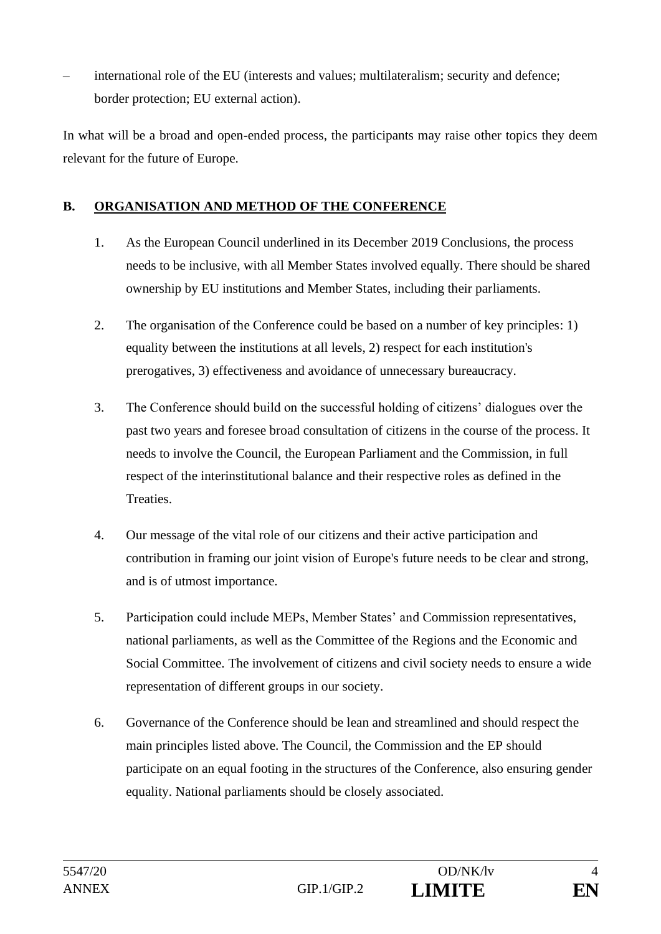– international role of the EU (interests and values; multilateralism; security and defence; border protection; EU external action).

In what will be a broad and open-ended process, the participants may raise other topics they deem relevant for the future of Europe.

## **B. ORGANISATION AND METHOD OF THE CONFERENCE**

- 1. As the European Council underlined in its December 2019 Conclusions, the process needs to be inclusive, with all Member States involved equally. There should be shared ownership by EU institutions and Member States, including their parliaments.
- 2. The organisation of the Conference could be based on a number of key principles: 1) equality between the institutions at all levels, 2) respect for each institution's prerogatives, 3) effectiveness and avoidance of unnecessary bureaucracy.
- 3. The Conference should build on the successful holding of citizens' dialogues over the past two years and foresee broad consultation of citizens in the course of the process. It needs to involve the Council, the European Parliament and the Commission, in full respect of the interinstitutional balance and their respective roles as defined in the **Treaties**
- 4. Our message of the vital role of our citizens and their active participation and contribution in framing our joint vision of Europe's future needs to be clear and strong, and is of utmost importance.
- 5. Participation could include MEPs, Member States' and Commission representatives, national parliaments, as well as the Committee of the Regions and the Economic and Social Committee. The involvement of citizens and civil society needs to ensure a wide representation of different groups in our society.
- 6. Governance of the Conference should be lean and streamlined and should respect the main principles listed above. The Council, the Commission and the EP should participate on an equal footing in the structures of the Conference, also ensuring gender equality. National parliaments should be closely associated.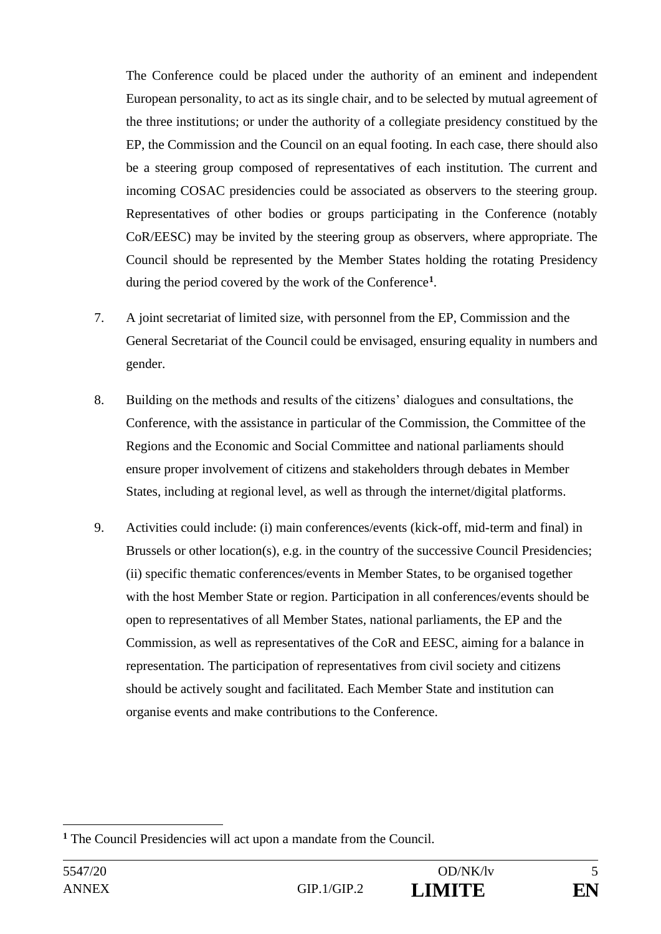The Conference could be placed under the authority of an eminent and independent European personality, to act as its single chair, and to be selected by mutual agreement of the three institutions; or under the authority of a collegiate presidency constitued by the EP, the Commission and the Council on an equal footing. In each case, there should also be a steering group composed of representatives of each institution. The current and incoming COSAC presidencies could be associated as observers to the steering group. Representatives of other bodies or groups participating in the Conference (notably CoR/EESC) may be invited by the steering group as observers, where appropriate. The Council should be represented by the Member States holding the rotating Presidency during the period covered by the work of the Conference**<sup>1</sup>** .

- 7. A joint secretariat of limited size, with personnel from the EP, Commission and the General Secretariat of the Council could be envisaged, ensuring equality in numbers and gender.
- 8. Building on the methods and results of the citizens' dialogues and consultations, the Conference, with the assistance in particular of the Commission, the Committee of the Regions and the Economic and Social Committee and national parliaments should ensure proper involvement of citizens and stakeholders through debates in Member States, including at regional level, as well as through the internet/digital platforms.
- 9. Activities could include: (i) main conferences/events (kick-off, mid-term and final) in Brussels or other location(s), e.g. in the country of the successive Council Presidencies; (ii) specific thematic conferences/events in Member States, to be organised together with the host Member State or region. Participation in all conferences/events should be open to representatives of all Member States, national parliaments, the EP and the Commission, as well as representatives of the CoR and EESC, aiming for a balance in representation. The participation of representatives from civil society and citizens should be actively sought and facilitated. Each Member State and institution can organise events and make contributions to the Conference.

**<sup>1</sup>** The Council Presidencies will act upon a mandate from the Council.